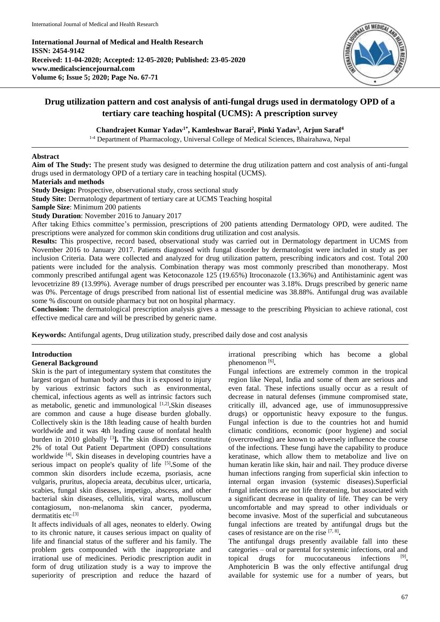**International Journal of Medical and Health Research ISSN: 2454-9142 Received: 11-04-2020; Accepted: 12-05-2020; Published: 23-05-2020 www.medicalsciencejournal.com Volume 6; Issue 5; 2020; Page No. 67-71**



# **Drug utilization pattern and cost analysis of anti-fungal drugs used in dermatology OPD of a tertiary care teaching hospital (UCMS): A prescription survey**

# **Chandrajeet Kumar Yadav1\* , Kamleshwar Barai<sup>2</sup> , Pinki Yadav<sup>3</sup> , Arjun Saraf<sup>4</sup>**

<sup>1-4</sup> Department of Pharmacology, Universal College of Medical Sciences, Bhairahawa, Nepal

### **Abstract**

**Aim of The Study:** The present study was designed to determine the drug utilization pattern and cost analysis of anti-fungal drugs used in dermatology OPD of a tertiary care in teaching hospital (UCMS).

### **Materials and methods**

**Study Design:** Prospective, observational study, cross sectional study

**Study Site:** Dermatology department of tertiary care at UCMS Teaching hospital

**Sample Size**: Minimum 200 patients

**Study Duration**: November 2016 to January 2017

After taking Ethics committee's permission, prescriptions of 200 patients attending Dermatology OPD, were audited. The prescriptions were analyzed for common skin conditions drug utilization and cost analysis.

**Results:** This prospective, record based, observational study was carried out in Dermatology department in UCMS from November 2016 to January 2017. Patients diagnosed with fungal disorder by dermatologist were included in study as per inclusion Criteria. Data were collected and analyzed for drug utilization pattern, prescribing indicators and cost. Total 200 patients were included for the analysis. Combination therapy was most commonly prescribed than monotherapy. Most commonly prescribed antifungal agent was Ketoconazole 125 (19.65%) Itroconazole (13.36%) and Antihistaminic agent was levocetrizine 89 (13.99%). Average number of drugs prescribed per encounter was 3.18%. Drugs prescribed by generic name was 0%. Percentage of drugs prescribed from national list of essential medicine was 38.88%. Antifungal drug was available some % discount on outside pharmacy but not on hospital pharmacy.

**Conclusion:** The dermatological prescription analysis gives a message to the prescribing Physician to achieve rational, cost effective medical care and will be prescribed by generic name.

**Keywords:** Antifungal agents, Drug utilization study, prescribed daily dose and cost analysis

# **Introduction**

## **General Background**

Skin is the part of integumentary system that constitutes the largest organ of human body and thus it is exposed to injury by various extrinsic factors such as environmental, chemical, infectious agents as well as intrinsic factors such as metabolic, genetic and immunological [1,2] **.**Skin diseases are common and cause a huge disease burden globally. Collectively skin is the 18th leading cause of health burden worldwide and it was 4th leading cause of nonfatal health burden in 2010 globally <sup>[3</sup>]. The skin disorders constitute 2% of total Out Patient Department (OPD) consultations worldwide [4] **.** Skin diseases in developing countries have a serious impact on people's quality of life [5]. Some of the common skin disorders include eczema, psoriasis, acne vulgaris, pruritus, alopecia areata, decubitus ulcer, urticaria, scabies, fungal skin diseases, impetigo, abscess, and other bacterial skin diseases, cellulitis, viral warts, molluscum contagiosum, non-melanoma skin cancer, pyoderma, dermatitis etc<sup>.[3]</sup>

It affects individuals of all ages, neonates to elderly. Owing to its chronic nature, it causes serious impact on quality of life and financial status of the sufferer and his family. The problem gets compounded with the inappropriate and irrational use of medicines. Periodic prescription audit in form of drug utilization study is a way to improve the superiority of prescription and reduce the hazard of irrational prescribing which has become a global phenomenon<sup>[6]</sup>.

Fungal infections are extremely common in the tropical region like Nepal, India and some of them are serious and even fatal. These infections usually occur as a result of decrease in natural defenses (immune compromised state, critically ill, advanced age, use of immunosuppressive drugs) or opportunistic heavy exposure to the fungus. Fungal infection is due to the countries hot and humid climatic conditions, economic (poor hygiene) and social (overcrowding) are known to adversely influence the course of the infections. These fungi have the capability to produce keratinase, which allow them to metabolize and live on human keratin like skin, hair and nail. They produce diverse human infections ranging from superficial skin infection to internal organ invasion (systemic diseases).Superficial fungal infections are not life threatening, but associated with a significant decrease in quality of life. They can be very uncomfortable and may spread to other individuals or become invasive. Most of the superficial and subcutaneous fungal infections are treated by antifungal drugs but the cases of resistance are on the rise [7, 8] **.** 

The antifungal drugs presently available fall into these categories – oral or parental for systemic infections, oral and topical drugs for mucocutaneous infections  $^{[9]}$ . Amphotericin B was the only effective antifungal drug available for systemic use for a number of years, but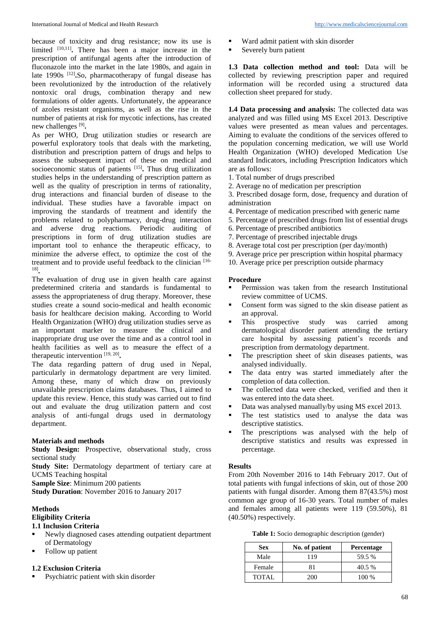because of toxicity and drug resistance; now its use is limited <sup>[10,11]</sup>. There has been a major increase in the prescription of antifungal agents after the introduction of fluconazole into the market in the late 1980s, and again in late 1990s <sup>[12]</sup>.So, pharmacotherapy of fungal disease has been revolutionized by the introduction of the relatively nontoxic oral drugs, combination therapy and new formulations of older agents. Unfortunately, the appearance of azoles resistant organisms, as well as the rise in the number of patients at risk for mycotic infections, has created new challenges [9] **.** 

As per WHO, Drug utilization studies or research are powerful exploratory tools that deals with the marketing, distribution and prescription pattern of drugs and helps to assess the subsequent impact of these on medical and socioeconomic status of patients <sup>[15]</sup>. Thus drug utilization studies helps in the understanding of prescription pattern as well as the quality of prescription in terms of rationality, drug interactions and financial burden of disease to the individual. These studies have a favorable impact on improving the standards of treatment and identify the problems related to polypharmacy, drug-drug interaction and adverse drug reactions. Periodic auditing of prescriptions in form of drug utilization studies are important tool to enhance the therapeutic efficacy, to minimize the adverse effect, to optimize the cost of the treatment and to provide useful feedback to the clinician [16- 18] **.** 

The evaluation of drug use in given health care against predetermined criteria and standards is fundamental to assess the appropriateness of drug therapy. Moreover, these studies create a sound socio-medical and health economic basis for healthcare decision making. According to World Health Organization (WHO) drug utilization studies serve as an important marker to measure the clinical and inappropriate drug use over the time and as a control tool in health facilities as well as to measure the effect of a therapeutic intervention [19, 20] **.** 

The data regarding pattern of drug used in Nepal, particularly in dermatology department are very limited. Among these, many of which draw on previously unavailable prescription claims databases. Thus, I aimed to update this review. Hence, this study was carried out to find out and evaluate the drug utilization pattern and cost analysis of anti-fungal drugs used in dermatology department.

# **Materials and methods**

**Study Design:** Prospective, observational study, cross sectional study

Study Site: Dermatology department of tertiary care at UCMS Teaching hospital

**Sample Size**: Minimum 200 patients

**Study Duration**: November 2016 to January 2017

### **Methods**

# **Eligibility Criteria**

# **1.1 Inclusion Criteria**

- Newly diagnosed cases attending outpatient department of Dermatology
- Follow up patient

# **1.2 Exclusion Criteria**

Psychiatric patient with skin disorder

- Ward admit patient with skin disorder
- Severely burn patient

**1.3 Data collection method and tool:** Data will be collected by reviewing prescription paper and required information will be recorded using a structured data collection sheet prepared for study.

**1.4 Data processing and analysis:** The collected data was analyzed and was filled using MS Excel 2013. Descriptive values were presented as mean values and percentages. Aiming to evaluate the conditions of the services offered to the population concerning medication, we will use World Health Organization (WHO) developed Medication Use standard Indicators, including Prescription Indicators which are as follows:

- 1. Total number of drugs prescribed
- 2. Average no of medication per prescription

3. Prescribed dosage form, dose, frequency and duration of administration

- 4. Percentage of medication prescribed with generic name
- 5. Percentage of prescribed drugs from list of essential drugs
- 6. Percentage of prescribed antibiotics
- 7. Percentage of prescribed injectable drugs
- 8. Average total cost per prescription (per day/month)
- 9. Average price per prescription within hospital pharmacy
- 10. Average price per prescription outside pharmacy

# **Procedure**

- Permission was taken from the research Institutional review committee of UCMS.
- Consent form was signed to the skin disease patient as an approval.
- This prospective study was carried among dermatological disorder patient attending the tertiary care hospital by assessing patient's records and prescription from dermatology department.
- The prescription sheet of skin diseases patients, was analysed individually.
- The data entry was started immediately after the completion of data collection.
- The collected data were checked, verified and then it was entered into the data sheet.
- Data was analysed manually/by using MS excel 2013.
- The test statistics used to analyse the data was descriptive statistics.
- The prescriptions was analysed with the help of descriptive statistics and results was expressed in percentage.

# **Results**

From 20th November 2016 to 14th February 2017. Out of total patients with fungal infections of skin, out of those 200 patients with fungal disorder. Among them 87(43.5%) most common age group of 16-30 years. Total number of males and females among all patients were 119 (59.50%), 81 (40.50%) respectively.

**Table 1:** Socio demographic description (gender)

| <b>Sex</b>   | No. of patient | <b>Percentage</b> |
|--------------|----------------|-------------------|
| Male         | 119            | 59.5 %            |
| Female       |                | 40.5 %            |
| <b>TOTAL</b> | 200            | 100 %             |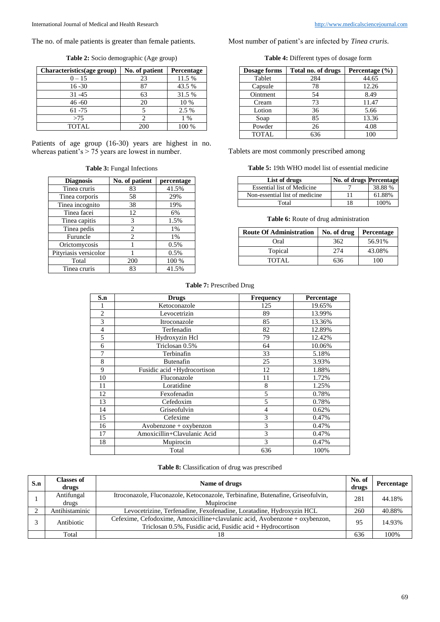**Table 2:** Socio demographic (Age group)

| Characteristics(age group) | No. of patient | Percentage |
|----------------------------|----------------|------------|
| $0 - 15$                   | 23             | 11.5 %     |
| $16 - 30$                  | 87             | 43.5 %     |
| $31 - 45$                  | 63             | 31.5 %     |
| $46 - 60$                  | 20             | 10 %       |
| $61 - 75$                  |                | 2.5 %      |
| >75                        |                | $1\%$      |
| <b>TOTAL</b>               | 200            | 100 %      |

Patients of age group (16-30) years are highest in no. whereas patient's > 75 years are lowest in number.

| <b>Table 3: Fungal Infections</b> |
|-----------------------------------|
|-----------------------------------|

| <b>Diagnosis</b>      | No. of patient | percentage |
|-----------------------|----------------|------------|
| Tinea cruris          | 83             | 41.5%      |
| Tinea corporis        | 58             | 29%        |
| Tinea incognito       | 38             | 19%        |
| Tinea facei           | 12             | 6%         |
| Tinea capitis         | 3              | 1.5%       |
| Tinea pedis           | 2              | 1%         |
| Furuncle              | $\overline{c}$ | 1%         |
| Orictomycosis         |                | 0.5%       |
| Pityriasis versicolor |                | 0.5%       |
| Total                 | 200            | 100 %      |
| Tinea cruris          | 83             | 41.5%      |

Most number of patient's are infected by *Tinea cruris*.

**Table 4:** Different types of dosage form

| <b>Dosage forms</b> | Total no. of drugs | Percentage $(\% )$ |
|---------------------|--------------------|--------------------|
| Tablet              | 284                | 44.65              |
| Capsule             | 78                 | 12.26              |
| Ointment            | 54                 | 8.49               |
| Cream               | 73                 | 11.47              |
| Lotion              | 36                 | 5.66               |
| Soap                | 85                 | 13.36              |
| Powder              | 26                 | 4.08               |
| <b>TOTAL</b>        | 636                | 100                |

Tablets are most commonly prescribed among

| List of drugs                     | No. of drugs Percentage |         |
|-----------------------------------|-------------------------|---------|
| <b>Essential list of Medicine</b> |                         | 38.88 % |
| Non-essential list of medicine    |                         | 61.88%  |
| Total                             | 18                      | 100%    |

#### **Table 6:** Route of drug administration

| <b>Route Of Administration</b> | No. of drug | Percentage |
|--------------------------------|-------------|------------|
| Oral                           | 362         | 56.91%     |
| Topical                        | 274         | 43.08%     |
| TOTAL.                         | 636         | 100        |

## **Table 7:** Prescribed Drug

| S.n            | <b>Drugs</b>                | Frequency      | Percentage |
|----------------|-----------------------------|----------------|------------|
|                | Ketoconazole                | 125            | 19.65%     |
| $\overline{2}$ | Levocetrizin                | 89             | 13.99%     |
| 3              | Itroconazole                | 85             | 13.36%     |
| $\overline{4}$ | Terfenadin                  | 82             | 12.89%     |
| 5              | Hydroxyzin Hcl              | 79             | 12.42%     |
| 6              | Triclosan 0.5%              | 64             | 10.06%     |
| 7              | Terbinafin                  | 33             | 5.18%      |
| 8              | Butenafin                   | 25             | 3.93%      |
| 9              | Fusidic acid +Hydrocortison | 12             | 1.88%      |
| 10             | Fluconazole                 | 11             | 1.72%      |
| 11             | Loratidine                  | 8              | 1.25%      |
| 12             | Fexofenadin                 | 5              | 0.78%      |
| 13             | Cefedoxim                   | 5              | 0.78%      |
| 14             | Griseofulvin                | $\overline{4}$ | 0.62%      |
| 15             | Cefexime                    | 3              | 0.47%      |
| 16             | $Avobenzone + oxybenzon$    | 3              | 0.47%      |
| 17             | Amoxicillin+Clavulanic Acid | 3              | 0.47%      |
| 18             | Mupirocin                   | 3              | 0.47%      |
|                | Total                       | 636            | 100%       |

## **Table 8:** Classification of drug was prescribed

| S.n | <b>Classes of</b><br>drugs | Name of drugs                                                                                                                             | No. of<br>drugs | Percentage |
|-----|----------------------------|-------------------------------------------------------------------------------------------------------------------------------------------|-----------------|------------|
|     | Antifungal<br>drugs        | Itroconazole, Fluconazole, Ketoconazole, Terbinafine, Butenafine, Griseofulvin,<br>Munirocine                                             | 281             | 44.18%     |
|     | Antihistaminic             | Levocetrizine, Terfenadine, Fexofenadine, Loratadine, Hydroxyzin HCL                                                                      | 260             | 40.88%     |
|     | Antibiotic                 | Cefexime, Cefodoxime, Amoxicilline+clavulanic acid, Avobenzone + oxybenzon,<br>Triclosan 0.5%, Fusidic acid, Fusidic acid + Hydrocortison | 95              | 14.93%     |
|     | Total                      |                                                                                                                                           | 636             | 100%       |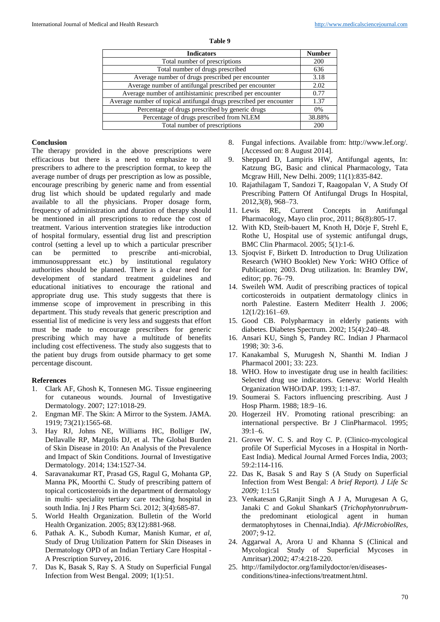| яn |  |
|----|--|
|----|--|

| <b>Indicators</b>                                                   | <b>Number</b> |
|---------------------------------------------------------------------|---------------|
| Total number of prescriptions                                       | 200           |
| Total number of drugs prescribed                                    | 636           |
| Average number of drugs prescribed per encounter                    | 3.18          |
| Average number of antifungal prescribed per encounter               | 2.02          |
| Average number of antihistaminic prescribed per encounter           | 0.77          |
| Average number of topical antifungal drugs prescribed per encounter | 1.37          |
| Percentage of drugs prescribed by generic drugs                     | 0%            |
| Percentage of drugs prescribed from NLEM                            | 38.88%        |
| Total number of prescriptions                                       | 200           |

### **Conclusion**

The therapy provided in the above prescriptions were efficacious but there is a need to emphasize to all prescribers to adhere to the prescription format, to keep the average number of drugs per prescription as low as possible, encourage prescribing by generic name and from essential drug list which should be updated regularly and made available to all the physicians. Proper dosage form, frequency of administration and duration of therapy should be mentioned in all prescriptions to reduce the cost of treatment. Various intervention strategies like introduction of hospital formulary, essential drug list and prescription control (setting a level up to which a particular prescriber can be permitted to prescribe anti-microbial, immunosuppressant etc.) by institutional regulatory authorities should be planned. There is a clear need for development of standard treatment guidelines and educational initiatives to encourage the rational and appropriate drug use. This study suggests that there is immense scope of improvement in prescribing in this department. This study reveals that generic prescription and essential list of medicine is very less and suggests that effort must be made to encourage prescribers for generic prescribing which may have a multitude of benefits including cost effectiveness. The study also suggests that to the patient buy drugs from outside pharmacy to get some percentage discount.

### **References**

- 1. Clark AF, Ghosh K, Tonnesen MG*.* Tissue engineering for cutaneous wounds. Journal of Investigative Dermatology. 2007; 127:1018-29.
- 2. Engman MF. The Skin: A Mirror to the System. JAMA. 1919; 73(21):1565-68.
- 3. Hay RJ, Johns NE, Williams HC, Bolliger IW, Dellavalle RP, Margolis DJ, et al. The Global Burden of Skin Disease in 2010: An Analysis of the Prevalence and Impact of Skin Conditions. Journal of Investigative Dermatology. 2014; 134:1527-34.
- 4. Saravanakumar RT, Prasad GS, Ragul G, Mohanta GP, Manna PK, Moorthi C. Study of prescribing pattern of topical corticosteroids in the department of dermatology in multi- speciality tertiary care teaching hospital in south India. Inj J Res Pharm Sci. 2012; 3(4):685-87.
- 5. World Health Organization. Bulletin of the World Health Organization. 2005; 83(12):881-968.
- 6. Pathak A. K., Subodh Kumar, Manish Kumar, *et al,*  Study of Drug Utilization Pattern for Skin Diseases in Dermatology OPD of an Indian Tertiary Care Hospital - A Prescription Survey**,** 2016.
- 7. Das K, Basak S, Ray S. A Study on Superficial Fungal Infection from West Bengal. 2009; 1(1):51.
- 8. Fungal infections. Available from: http://www.lef.org/. [Accessed on: 8 August 2014].
- 9. Sheppard D, Lampiris HW, Antifungal agents, In: Katzung BG, Basic and clinical Pharmacology, Tata Mcgraw Hill, New Delhi. 2009; 11(1):835-842.
- 10. Rajathilagam T, Sandozi T, Raagopalan V, A Study Of Prescribing Pattern Of Antifungal Drugs In Hospital, 2012,3(8), 968–73.
- 11. Lewis RE, Current Concepts in Antifungal Pharmacology, Mayo clin proc, 2011; 86(8):805-17.
- 12. With KD, Steib-bauert M, Knoth H, Dörje F, Strehl E, Rothe U, Hospital use of systemic antifungal drugs, BMC Clin Pharmacol. 2005; 5(1):1-6.
- 13. Sjoqvist F, Birkett D. Introduction to Drug Utilization Research (WHO Booklet) New York: WHO Office of Publication; 2003. Drug utilization. In: Bramley DW, editor; pp. 76–79.
- 14. Sweileh WM. Audit of prescribing practices of topical corticosteroids in outpatient dermatology clinics in north Palestine. Eastern Mediterr Health J. 2006; 12(1/2):161–69.
- 15. Good CB. Polypharmacy in elderly patients with diabetes. Diabetes Spectrum. 2002; 15(4):240–48.
- 16. Ansari KU, Singh S, Pandey RC. Indian J Pharmacol 1998; 30: 3-6.
- 17. Kanakambal S, Murugesh N, Shanthi M. Indian J Pharmacol 2001; 33: 223.
- 18. WHO. How to investigate drug use in health facilities: Selected drug use indicators. Geneva: World Health Organization WHO/DAP. 1993; 1:1-87.
- 19. Soumerai S. Factors influencing prescribing. Aust J Hosp Pharm. 1988; 18:9–16.
- 20. Hogerzeil HV. Promoting rational prescribing: an international perspective. Br J ClinPharmacol. 1995; 39:1–6.
- 21. Grover W. C. S. and Roy C. P. (Clinico-mycological profile Of Superficial Mycoses in a Hospital in North-East India). Medical Journal Armed Forces India, 2003; 59:2:114-116.
- 22. Das K, Basak S and Ray S (A Study on Superficial Infection from West Bengal: *A brief Report). J Life Sc 2009;* 1:1:51
- 23. Venkatesan G,Ranjit Singh A J A, Murugesan A G, Janaki C and Gokul ShankarS (*Trichophytonrubrum*the predominant etiological agent in human dermatophytoses in Chennai,India). *AfrJMicrobiolRes,*  2007; 9-12.
- 24. Aggarwal A, Arora U and Khanna S (Clinical and Mycological Study of Superficial Mycoses in Amritsar).2002; 47:4:218-220.
- 25. http://familydoctor.org/familydoctor/en/diseasesconditions/tinea-infections/treatment.html.